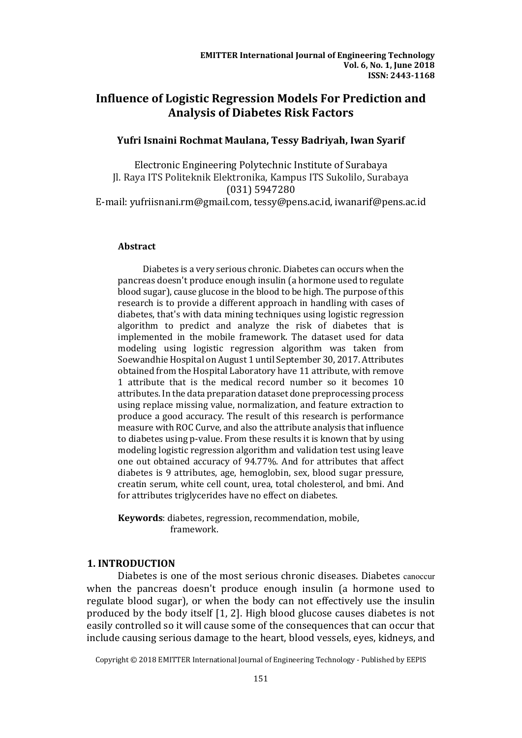# **Influence of Logistic Regression Models For Prediction and Analysis of Diabetes Risk Factors**

## **Yufri Isnaini Rochmat Maulana, Tessy Badriyah, Iwan Syarif**

Electronic Engineering Polytechnic Institute of Surabaya Jl. Raya ITS Politeknik Elektronika, Kampus ITS Sukolilo, Surabaya (031) 5947280

E-mail: yufriisnani.rm@gmail.com, tessy@pens.ac.id, iwanarif@pens.ac.id

## **Abstract**

Diabetes is a very serious chronic. Diabetes can occurs when the pancreas doesn't produce enough insulin (a hormone used to regulate blood sugar), cause glucose in the blood to be high. The purpose of this research is to provide a different approach in handling with cases of diabetes, that's with data mining techniques using logistic regression algorithm to predict and analyze the risk of diabetes that is implemented in the mobile framework. The dataset used for data modeling using logistic regression algorithm was taken from Soewandhie Hospital on August 1 until September 30, 2017. Attributes obtained from the Hospital Laboratory have 11 attribute, with remove 1 attribute that is the medical record number so it becomes 10 attributes. In the data preparation dataset done preprocessing process using replace missing value, normalization, and feature extraction to produce a good accuracy. The result of this research is performance measure with ROC Curve, and also the attribute analysis that influence to diabetes using p-value. From these results it is known that by using modeling logistic regression algorithm and validation test using leave one out obtained accuracy of 94.77%. And for attributes that affect diabetes is 9 attributes, age, hemoglobin, sex, blood sugar pressure, creatin serum, white cell count, urea, total cholesterol, and bmi. And for attributes triglycerides have no effect on diabetes.

**Keywords**: diabetes, regression, recommendation, mobile, framework.

## **1. INTRODUCTION**

Diabetes is one of the most serious chronic diseases. Diabetes canoccur when the pancreas doesn't produce enough insulin (a hormone used to regulate blood sugar), or when the body can not effectively use the insulin produced by the body itself [1, 2]. High blood glucose causes diabetes is not easily controlled so it will cause some of the consequences that can occur that include causing serious damage to the heart, blood vessels, eyes, kidneys, and

Copyright © 2018 EMITTER International Journal of Engineering Technology - Published by EEPIS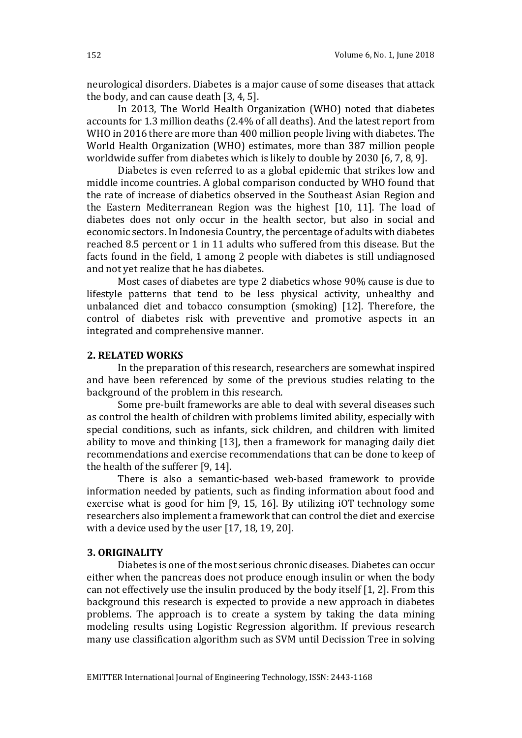neurological disorders. Diabetes is a major cause of some diseases that attack the body, and can cause death [3, 4, 5].

In 2013, The World Health Organization (WHO) noted that diabetes accounts for 1.3 million deaths (2.4% of all deaths). And the latest report from WHO in 2016 there are more than 400 million people living with diabetes. The World Health Organization (WHO) estimates, more than 387 million people worldwide suffer from diabetes which is likely to double by 2030 [6, 7, 8, 9].

Diabetes is even referred to as a global epidemic that strikes low and middle income countries. A global comparison conducted by WHO found that the rate of increase of diabetics observed in the Southeast Asian Region and the Eastern Mediterranean Region was the highest [10, 11]. The load of diabetes does not only occur in the health sector, but also in social and economic sectors. In Indonesia Country, the percentage of adults with diabetes reached 8.5 percent or 1 in 11 adults who suffered from this disease. But the facts found in the field, 1 among 2 people with diabetes is still undiagnosed and not yet realize that he has diabetes.

Most cases of diabetes are type 2 diabetics whose 90% cause is due to lifestyle patterns that tend to be less physical activity, unhealthy and unbalanced diet and tobacco consumption (smoking) [12]. Therefore, the control of diabetes risk with preventive and promotive aspects in an integrated and comprehensive manner.

## **2. RELATED WORKS**

In the preparation of this research, researchers are somewhat inspired and have been referenced by some of the previous studies relating to the background of the problem in this research.

Some pre-built frameworks are able to deal with several diseases such as control the health of children with problems limited ability, especially with special conditions, such as infants, sick children, and children with limited ability to move and thinking [13], then a framework for managing daily diet recommendations and exercise recommendations that can be done to keep of the health of the sufferer [9, 14].

There is also a semantic-based web-based framework to provide information needed by patients, such as finding information about food and exercise what is good for him [9, 15, 16]. By utilizing iOT technology some researchers also implement a framework that can control the diet and exercise with a device used by the user [17, 18, 19, 20].

## **3. ORIGINALITY**

Diabetes is one of the most serious chronic diseases. Diabetes can occur either when the pancreas does not produce enough insulin or when the body can not effectively use the insulin produced by the body itself [1, 2]. From this background this research is expected to provide a new approach in diabetes problems. The approach is to create a system by taking the data mining modeling results using Logistic Regression algorithm. If previous research many use classification algorithm such as SVM until Decission Tree in solving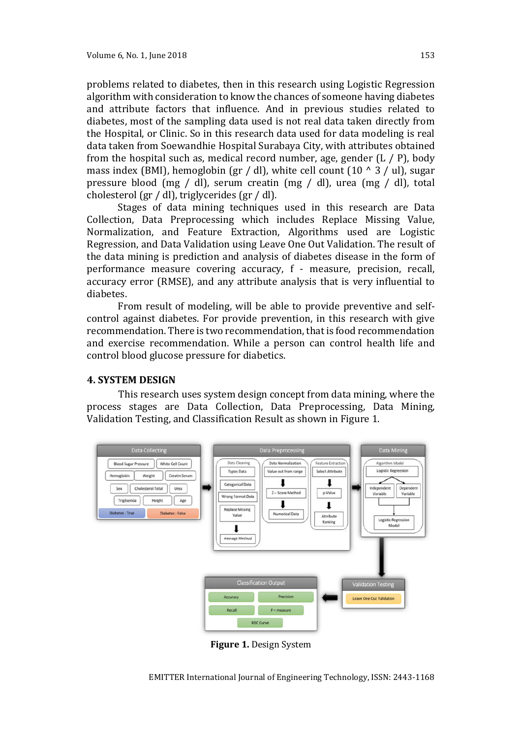problems related to diabetes, then in this research using Logistic Regression algorithm with consideration to know the chances of someone having diabetes and attribute factors that influence. And in previous studies related to diabetes, most of the sampling data used is not real data taken directly from the Hospital, or Clinic. So in this research data used for data modeling is real data taken from Soewandhie Hospital Surabaya City, with attributes obtained from the hospital such as, medical record number, age, gender  $(L / P)$ , body mass index (BMI), hemoglobin (gr / dl), white cell count (10  $\land$  3 / ul), sugar pressure blood (mg / dl), serum creatin (mg / dl), urea (mg / dl), total cholesterol (gr / dl), triglycerides (gr / dl).

Stages of data mining techniques used in this research are Data Collection, Data Preprocessing which includes Replace Missing Value, Normalization, and Feature Extraction, Algorithms used are Logistic Regression, and Data Validation using Leave One Out Validation. The result of the data mining is prediction and analysis of diabetes disease in the form of performance measure covering accuracy, f - measure, precision, recall, accuracy error (RMSE), and any attribute analysis that is very influential to diabetes.

From result of modeling, will be able to provide preventive and selfcontrol against diabetes. For provide prevention, in this research with give recommendation. There is two recommendation, that is food recommendation and exercise recommendation. While a person can control health life and control blood glucose pressure for diabetics.

### **4. SYSTEM DESIGN**

This research uses system design concept from data mining, where the process stages are Data Collection, Data Preprocessing, Data Mining, Validation Testing, and Classification Result as shown in Figure 1.



**Figure 1.** Design System

EMITTER International Journal of Engineering Technology, ISSN: 2443-1168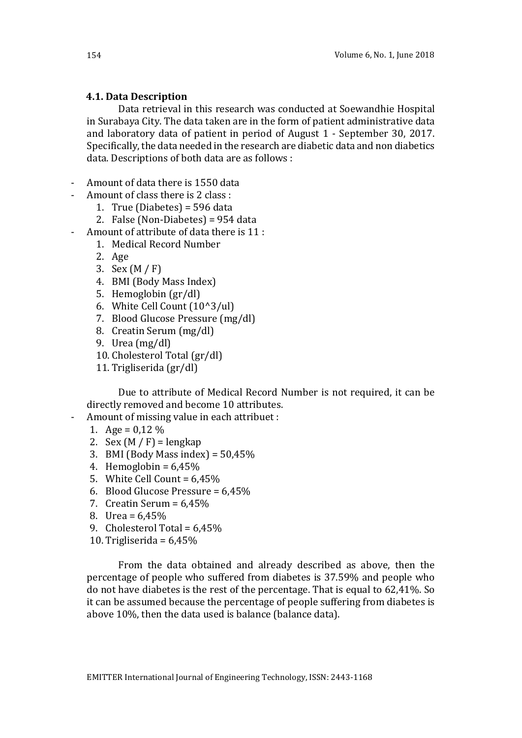## **4.1. Data Description**

Data retrieval in this research was conducted at Soewandhie Hospital in Surabaya City. The data taken are in the form of patient administrative data and laboratory data of patient in period of August 1 - September 30, 2017. Specifically, the data needed in the research are diabetic data and non diabetics data. Descriptions of both data are as follows :

- Amount of data there is 1550 data
- Amount of class there is 2 class :
	- 1. True (Diabetes) = 596 data
	- 2. False (Non-Diabetes) = 954 data
- Amount of attribute of data there is 11 :
	- 1. Medical Record Number
	- 2. Age
	- 3. Sex (M / F)
	- 4. BMI (Body Mass Index)
	- 5. Hemoglobin (gr/dl)
	- 6. White Cell Count (10^3/ul)
	- 7. Blood Glucose Pressure (mg/dl)
	- 8. Creatin Serum (mg/dl)
	- 9. Urea (mg/dl)
	- 10. Cholesterol Total (gr/dl)
	- 11. Trigliserida (gr/dl)

Due to attribute of Medical Record Number is not required, it can be directly removed and become 10 attributes.

- Amount of missing value in each attribuet :
	- 1. Age =  $0.12\%$
	- 2. Sex  $(M / F)$  = lengkap
	- 3. BMI (Body Mass index) =  $50,45\%$
	- 4. Hemoglobin =  $6.45\%$
	- 5. White Cell Count =  $6.45\%$
	- 6. Blood Glucose Pressure = 6,45%
	- 7. Creatin Serum =  $6.45\%$
	- 8. Urea = 6,45%
	- 9. Cholesterol Total = 6,45%
	- 10. Trigliserida =  $6,45\%$

From the data obtained and already described as above, then the percentage of people who suffered from diabetes is 37.59% and people who do not have diabetes is the rest of the percentage. That is equal to 62,41%. So it can be assumed because the percentage of people suffering from diabetes is above 10%, then the data used is balance (balance data).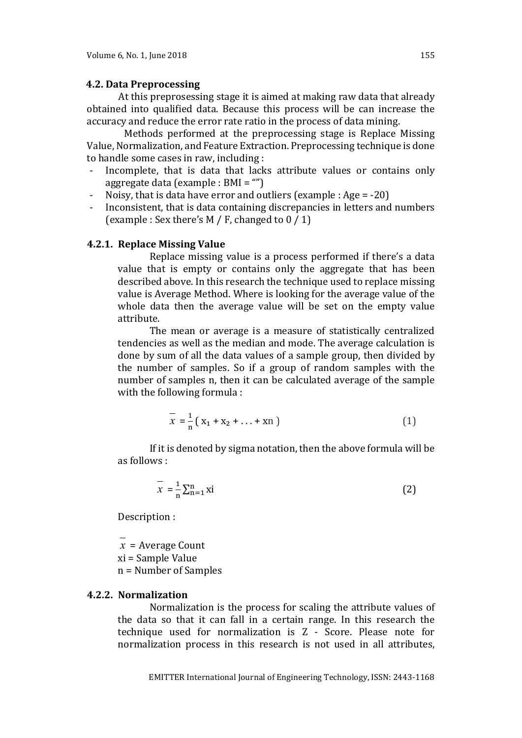### **4.2. Data Preprocessing**

At this preprosessing stage it is aimed at making raw data that already obtained into qualified data. Because this process will be can increase the accuracy and reduce the error rate ratio in the process of data mining.

Methods performed at the preprocessing stage is Replace Missing Value, Normalization, and Feature Extraction. Preprocessing technique is done to handle some cases in raw, including :

- Incomplete, that is data that lacks attribute values or contains only aggregate data (example : BMI = "")
- Noisy, that is data have error and outliers (example : Age  $= -20$ )
- Inconsistent, that is data containing discrepancies in letters and numbers (example : Sex there's  $M / F$ , changed to  $0 / 1$ )

## **4.2.1. Replace Missing Value**

Replace missing value is a process performed if there's a data value that is empty or contains only the aggregate that has been described above. In this research the technique used to replace missing value is Average Method. Where is looking for the average value of the whole data then the average value will be set on the empty value attribute.

The mean or average is a measure of statistically centralized tendencies as well as the median and mode. The average calculation is done by sum of all the data values of a sample group, then divided by the number of samples. So if a group of random samples with the number of samples n, then it can be calculated average of the sample with the following formula :

$$
\overline{x} = \frac{1}{n} (x_1 + x_2 + \dots + x_n)
$$
 (1)

If it is denoted by sigma notation, then the above formula will be as follows :

$$
\overline{x} = \frac{1}{n} \sum_{n=1}^{n} x i
$$
 (2)

Description :

*x* = Average Count

xi = Sample Value

n = Number of Samples

## **4.2.2. Normalization**

Normalization is the process for scaling the attribute values of the data so that it can fall in a certain range. In this research the technique used for normalization is Z - Score. Please note for normalization process in this research is not used in all attributes,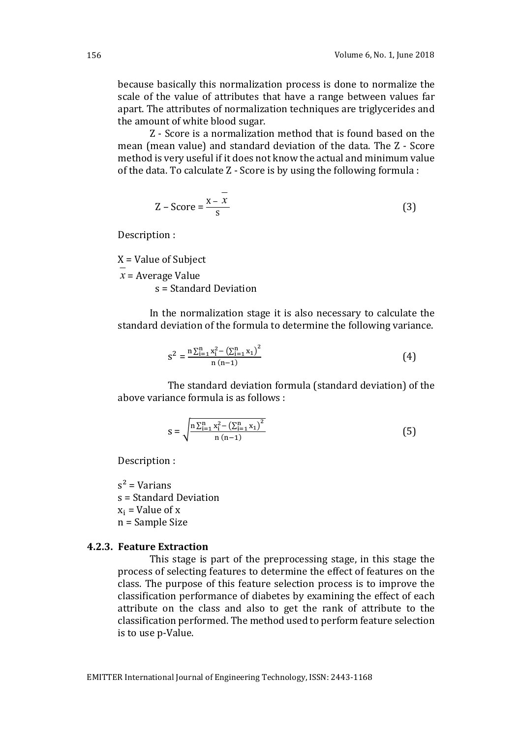because basically this normalization process is done to normalize the scale of the value of attributes that have a range between values far apart. The attributes of normalization techniques are triglycerides and the amount of white blood sugar.

Z - Score is a normalization method that is found based on the mean (mean value) and standard deviation of the data. The Z - Score method is very useful if it does not know the actual and minimum value of the data. To calculate Z - Score is by using the following formula :

$$
Z - Score = \frac{x - x}{s}
$$
 (3)

Description :

X = Value of Subject

*x* = Average Value

s = Standard Deviation

In the normalization stage it is also necessary to calculate the standard deviation of the formula to determine the following variance.

$$
s^{2} = \frac{n \sum_{i=1}^{n} x_{i}^{2} - (\sum_{i=1}^{n} x_{i})^{2}}{n (n-1)}
$$
(4)

The standard deviation formula (standard deviation) of the above variance formula is as follows :

$$
s = \sqrt{\frac{n \sum_{i=1}^{n} x_i^2 - (\sum_{i=1}^{n} x_i)^2}{n (n-1)}} \tag{5}
$$

Description :

 $s^2$  = Varians s = Standard Deviation  $x_i$  = Value of x n = Sample Size

### **4.2.3. Feature Extraction**

This stage is part of the preprocessing stage, in this stage the process of selecting features to determine the effect of features on the class. The purpose of this feature selection process is to improve the classification performance of diabetes by examining the effect of each attribute on the class and also to get the rank of attribute to the classification performed. The method used to perform feature selection is to use p-Value.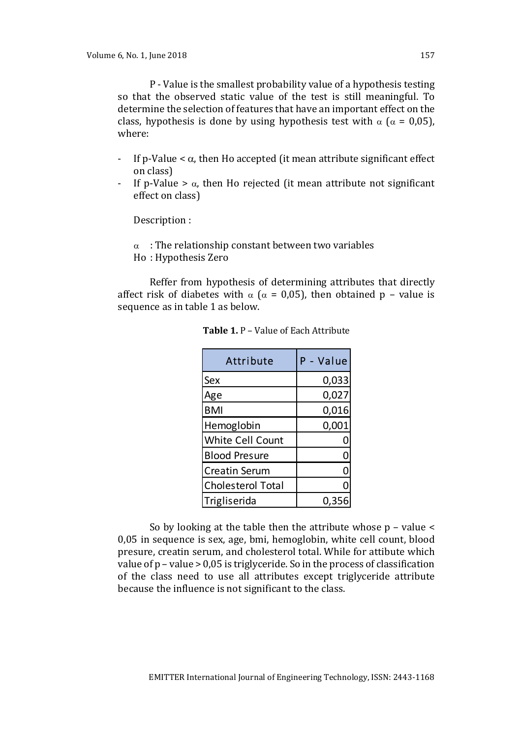P - Value is the smallest probability value of a hypothesis testing so that the observed static value of the test is still meaningful. To determine the selection of features that have an important effect on the class, hypothesis is done by using hypothesis test with  $\alpha$  ( $\alpha$  = 0,05), where:

- If p-Value  $\lt \alpha$ , then Ho accepted (it mean attribute significant effect on class)
- If p-Value  $> \alpha$ , then Ho rejected (it mean attribute not significant effect on class)

Description :

 $\alpha$ : The relationship constant between two variables Ho : Hypothesis Zero

Reffer from hypothesis of determining attributes that directly affect risk of diabetes with  $\alpha$  ( $\alpha$  = 0.05), then obtained p – value is sequence as in table 1 as below.

| Attribute                | P - Value    |
|--------------------------|--------------|
| Sex                      | 0,033        |
| Age                      | 0,027        |
| <b>BMI</b>               | 0,016        |
| Hemoglobin               | 0,001        |
| <b>White Cell Count</b>  | 0            |
| <b>Blood Presure</b>     | 0            |
| <b>Creatin Serum</b>     | $\mathbf{0}$ |
| <b>Cholesterol Total</b> |              |
| Trigliserida             | 0,35         |

**Table 1.** P – Value of Each Attribute

So by looking at the table then the attribute whose p – value < 0,05 in sequence is sex, age, bmi, hemoglobin, white cell count, blood presure, creatin serum, and cholesterol total. While for attibute which value of p – value > 0,05 is triglyceride. So in the process of classification of the class need to use all attributes except triglyceride attribute because the influence is not significant to the class.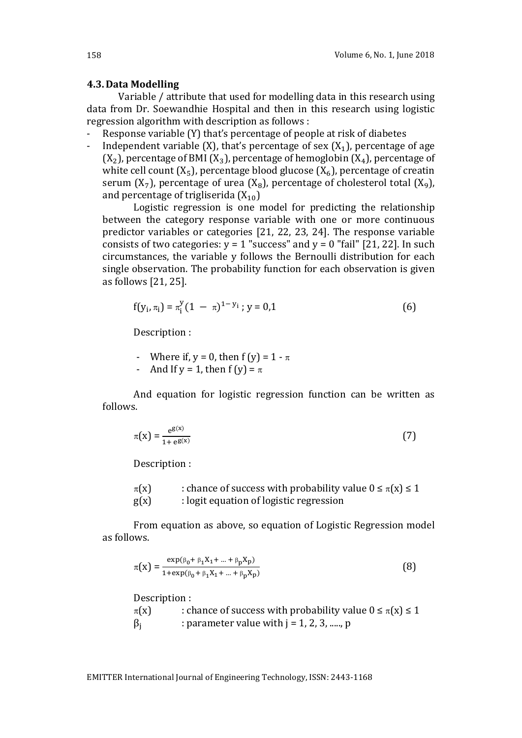#### **4.3.Data Modelling**

Variable / attribute that used for modelling data in this research using data from Dr. Soewandhie Hospital and then in this research using logistic regression algorithm with description as follows :

- Response variable (Y) that's percentage of people at risk of diabetes
- Independent variable (X), that's percentage of sex  $(X_1)$ , percentage of age  $(X_2)$ , percentage of BMI  $(X_3)$ , percentage of hemoglobin  $(X_4)$ , percentage of white cell count  $(X_5)$ , percentage blood glucose  $(X_6)$ , percentage of creatin serum  $(X_7)$ , percentage of urea  $(X_8)$ , percentage of cholesterol total  $(X_9)$ , and percentage of trigliserida  $(X_{10})$

Logistic regression is one model for predicting the relationship between the category response variable with one or more continuous predictor variables or categories [21, 22, 23, 24]. The response variable consists of two categories:  $y = 1$  "success" and  $y = 0$  "fail" [21, 22]. In such circumstances, the variable y follows the Bernoulli distribution for each single observation. The probability function for each observation is given as follows [21, 25].

$$
f(y_i, \pi_i) = \pi_i^y (1 - \pi)^{1 - y_i}; y = 0, 1
$$
 (6)

Description :

- Where if,  $y = 0$ , then  $f(y) = 1 \pi$
- And If y = 1, then  $f(y) = \pi$

And equation for logistic regression function can be written as follows.

$$
\pi(\mathbf{x}) = \frac{\mathbf{e}^{\mathbf{g}(\mathbf{x})}}{1 + \mathbf{e}^{\mathbf{g}(\mathbf{x})}}
$$
(7)

Description :

| $\pi(X)$ | : chance of success with probability value $0 \le \pi(x) \le 1$ |
|----------|-----------------------------------------------------------------|
| g(x)     | : logit equation of logistic regression                         |

From equation as above, so equation of Logistic Regression model as follows.

$$
\pi(x) = \frac{\exp(\beta_0 + \beta_1 X_1 + \dots + \beta_p X_p)}{1 + \exp(\beta_0 + \beta_1 X_1 + \dots + \beta_p X_p)}
$$
(8)

Description :

 $\pi(x)$  : chance of success with probability value  $0 \le \pi(x) \le 1$  $\beta_i$  : parameter value with j = 1, 2, 3, ....., p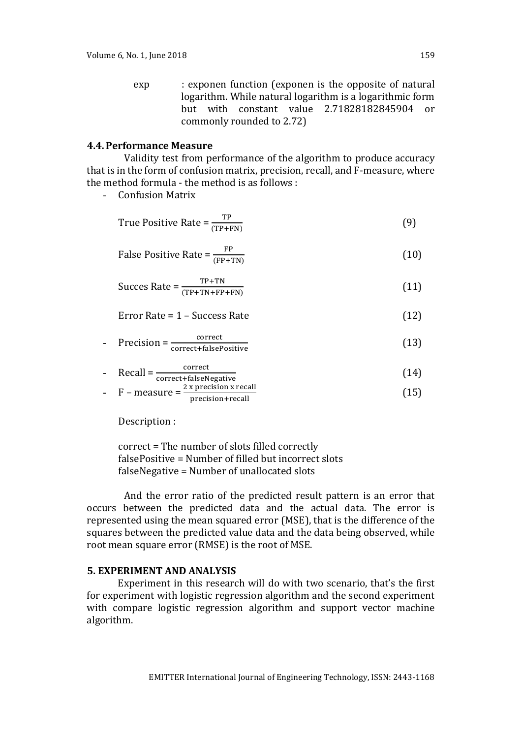exp : exponen function (exponen is the opposite of natural logarithm. While natural logarithm is a logarithmic form but with constant value 2.71828182845904 or commonly rounded to 2.72)

### **4.4.Performance Measure**

Validity test from performance of the algorithm to produce accuracy that is in the form of confusion matrix, precision, recall, and F-measure, where the method formula - the method is as follows :

- Confusion Matrix

True Positive Rate = 
$$
\frac{\text{TP}}{(\text{TP} + \text{FN})}
$$
 (9)

False Positive Rate = 
$$
\frac{FP}{(FP+TN)}
$$
 (10)

$$
Success Rate = \frac{TP + TN}{(TP + TN + FP + FN)}
$$
 (11)

$$
Error Rate = 1 - Success Rate
$$
 (12)

$$
= \text{Precision} = \frac{\text{correct}}{\text{correct} + \text{falsePositive}} \tag{13}
$$

- Recall 
$$
=\frac{\text{correct}}{\text{correct} + \text{falseNegative}}
$$
 (14)

$$
F - measure = \frac{2 \times precision \times recall}{precision + recall}
$$
 (15)

Description :

correct = The number of slots filled correctly falsePositive = Number of filled but incorrect slots falseNegative = Number of unallocated slots

And the error ratio of the predicted result pattern is an error that occurs between the predicted data and the actual data. The error is represented using the mean squared error (MSE), that is the difference of the squares between the predicted value data and the data being observed, while root mean square error (RMSE) is the root of MSE.

## **5. EXPERIMENT AND ANALYSIS**

Experiment in this research will do with two scenario, that's the first for experiment with logistic regression algorithm and the second experiment with compare logistic regression algorithm and support vector machine algorithm.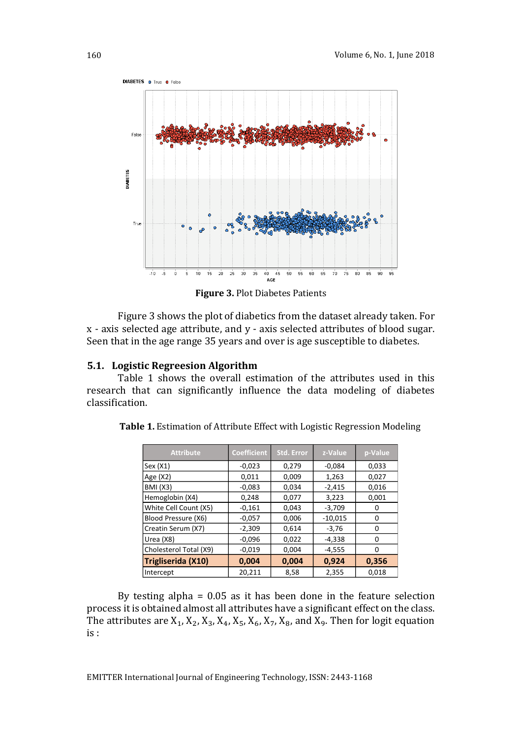

**Figure 3.** Plot Diabetes Patients

Figure 3 shows the plot of diabetics from the dataset already taken. For x - axis selected age attribute, and y - axis selected attributes of blood sugar. Seen that in the age range 35 years and over is age susceptible to diabetes.

## **5.1. Logistic Regreesion Algorithm**

Table 1 shows the overall estimation of the attributes used in this research that can significantly influence the data modeling of diabetes classification.

| <b>Attribute</b>       | <b>Coefficient</b> | <b>Std. Error</b> | z-Value   | p-Value |
|------------------------|--------------------|-------------------|-----------|---------|
| Sex(X1)                | $-0,023$           | 0,279             | $-0,084$  | 0,033   |
| Age $(X2)$             | 0,011              | 0,009             | 1,263     | 0,027   |
| <b>BMI</b> (X3)        | $-0,083$           | 0,034             | $-2,415$  | 0,016   |
| Hemoglobin (X4)        | 0,248              | 0,077             | 3,223     | 0,001   |
| White Cell Count (X5)  | $-0,161$           | 0,043             | $-3,709$  | O       |
| Blood Pressure (X6)    | $-0,057$           | 0,006             | $-10,015$ | 0       |
| Creatin Serum (X7)     | $-2,309$           | 0,614             | $-3,76$   | 0       |
| Urea (X8)              | $-0,096$           | 0,022             | $-4,338$  | 0       |
| Cholesterol Total (X9) | $-0,019$           | 0,004             | $-4,555$  | 0       |
| Trigliserida (X10)     | 0,004              | 0,004             | 0,924     | 0,356   |
| Intercept              | 20,211             | 8,58              | 2,355     | 0.018   |

**Table 1.** Estimation of Attribute Effect with Logistic Regression Modeling

By testing alpha = 0.05 as it has been done in the feature selection process it is obtained almost all attributes have a significant effect on the class. The attributes are  $X_1$ ,  $X_2$ ,  $X_3$ ,  $X_4$ ,  $X_5$ ,  $X_6$ ,  $X_7$ ,  $X_8$ , and  $X_9$ . Then for logit equation is :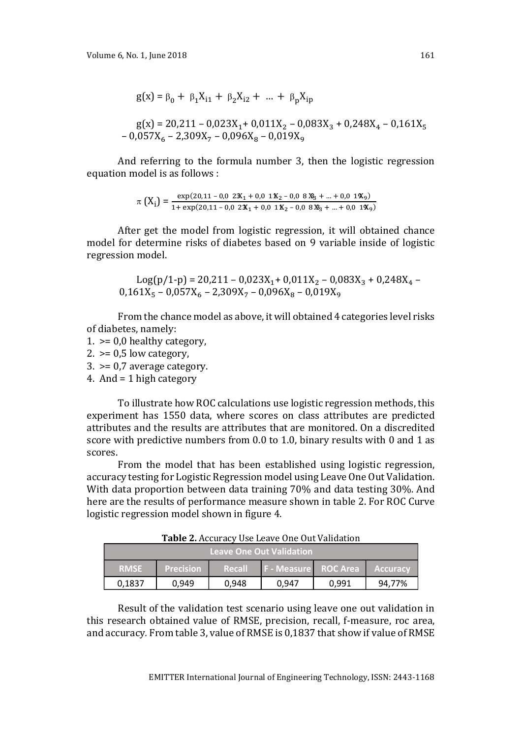$g(x) = \beta_0 + \beta_1 X_{i1} + \beta_2 X_{i2} + ... + \beta_n X_{ip}$ 

$$
g(x) = 20,211 - 0,023X_1 + 0,011X_2 - 0,083X_3 + 0,248X_4 - 0,161X_5 - 0,057X_6 - 2,309X_7 - 0,096X_8 - 0,019X_9
$$

And referring to the formula number 3, then the logistic regression equation model is as follows :

$$
\pi\left(X_{i}\right) = \frac{\exp(20.11 - 0.023X_{1} + 0.011X_{2} - 0.083X_{3} + \dots + 0.019X_{9})}{1 + \exp(20.11 - 0.023X_{1} + 0.011X_{2} - 0.083X_{3} + \dots + 0.019X_{9})}
$$

After get the model from logistic regression, it will obtained chance model for determine risks of diabetes based on 9 variable inside of logistic regression model.

Log(p/1-p) = 20,211 - 0,023X<sub>1</sub> + 0,011X<sub>2</sub> - 0,083X<sub>3</sub> + 0,248X<sub>4</sub> - $0,161X_5 - 0,057X_6 - 2,309X_7 - 0,096X_8 - 0,019X_9$ 

From the chance model as above, it will obtained 4 categories level risks of diabetes, namely:

- $1.$  >= 0.0 healthy category,
- $2.$  >= 0,5 low category,
- $3.$  >= 0,7 average category.
- 4. And = 1 high category

To illustrate how ROC calculations use logistic regression methods, this experiment has 1550 data, where scores on class attributes are predicted attributes and the results are attributes that are monitored. On a discredited score with predictive numbers from 0.0 to 1.0, binary results with 0 and 1 as scores.

From the model that has been established using logistic regression, accuracy testing for Logistic Regression model using Leave One Out Validation. With data proportion between data training 70% and data testing 30%. And here are the results of performance measure shown in table 2. For ROC Curve logistic regression model shown in figure 4.

**Table 2.** Accuracy Use Leave One Out Validation

|             |                  |        | Leave One Out Validation <b>i</b> |       |                 |
|-------------|------------------|--------|-----------------------------------|-------|-----------------|
| <b>RMSE</b> | <b>Precision</b> | Recall | <b>F - Measure ROC Area</b>       |       | <b>Accuracy</b> |
| 0.1837      | 0.949            | 0.948  | 0.947                             | 0.991 | 94.77%          |

Result of the validation test scenario using leave one out validation in this research obtained value of RMSE, precision, recall, f-measure, roc area, and accuracy*.* From table 3, value of RMSE is 0,1837 that show if value of RMSE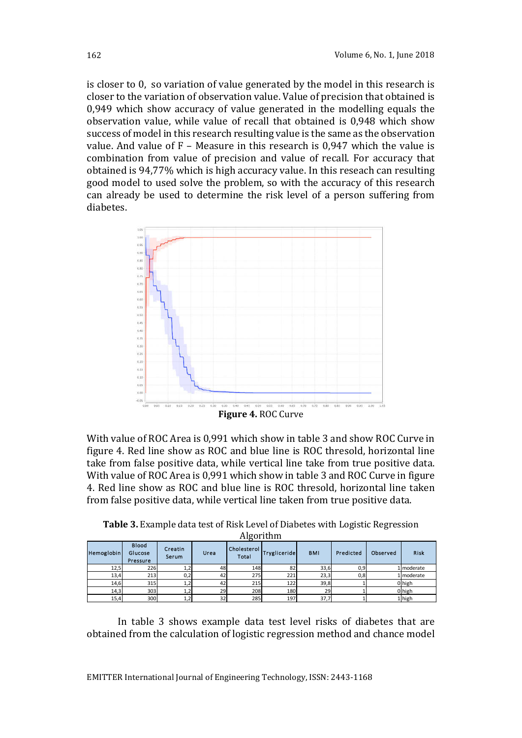is closer to 0, so variation of value generated by the model in this research is closer to the variation of observation value. Value of precision that obtained is 0,949 which show accuracy of value generated in the modelling equals the observation value, while value of recall that obtained is 0,948 which show success of model in this research resulting value is the same as the observation value. And value of  $F -$  Measure in this research is 0,947 which the value is combination from value of precision and value of recall. For accuracy that obtained is 94,77% which is high accuracy value. In this reseach can resulting good model to used solve the problem, so with the accuracy of this research can already be used to determine the risk level of a person suffering from diabetes.



With value of ROC Area is 0,991 which show in table 3 and show ROC Curve in figure 4. Red line show as ROC and blue line is ROC thresold, horizontal line take from false positive data, while vertical line take from true positive data. With value of ROC Area is 0,991 which show in table 3 and ROC Curve in figure 4. Red line show as ROC and blue line is ROC thresold, horizontal line taken from false positive data, while vertical line taken from true positive data.

**Table 3.** Example data test of Risk Level of Diabetes with Logistic Regression Algorithm

| Hemoglobin | <b>Blood</b><br>Glucose<br>Pressure | Creatin<br><b>Serum</b> | Urea | Cholesterol<br>Total | Trygliceride | <b>BMI</b> | Predicted | Observed | <b>Risk</b> |
|------------|-------------------------------------|-------------------------|------|----------------------|--------------|------------|-----------|----------|-------------|
| 12,5       | 226                                 | 1,2                     | 48   | 148                  | 82           | 33,6       | 0,9       |          | 1 moderate  |
| 13,4       | 213                                 | 0,2                     | 42   | 275                  | 221          | 23,3       | 0,8       |          | 1 moderate  |
| 14,6       | 315                                 | 1,2                     | 42   | 215                  | 122          | 39,8       |           |          | 0 high      |
| 14,3       | 303                                 | 1,2                     | 29   | 208                  | 180          | 29         |           |          | 0 high      |
| 15,4       | 300                                 | 1,2                     | 32   | 285                  | 197          | 37,7       |           |          | 1 high      |

In table 3 shows example data test level risks of diabetes that are obtained from the calculation of logistic regression method and chance model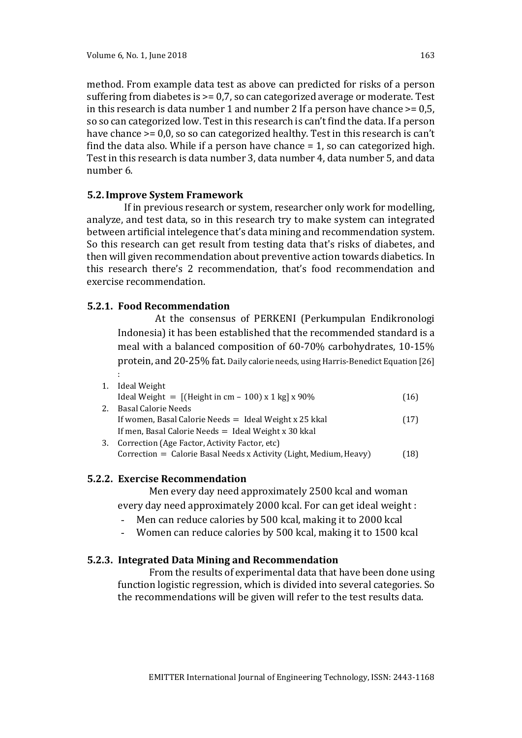method. From example data test as above can predicted for risks of a person suffering from diabetes is >= 0,7, so can categorized average or moderate. Test in this research is data number 1 and number 2 If a person have chance  $\geq$  = 0,5, so so can categorized low. Test in this research is can't find the data. If a person have chance  $\geq 0.0$ , so so can categorized healthy. Test in this research is can't find the data also. While if a person have chance = 1, so can categorized high. Test in this research is data number 3, data number 4, data number 5, and data number 6.

## **5.2.Improve System Framework**

If in previous research or system, researcher only work for modelling, analyze, and test data, so in this research try to make system can integrated between artificial intelegence that's data mining and recommendation system. So this research can get result from testing data that's risks of diabetes, and then will given recommendation about preventive action towards diabetics. In this research there's 2 recommendation, that's food recommendation and exercise recommendation.

## **5.2.1. Food Recommendation**

At the consensus of PERKENI (Perkumpulan Endikronologi Indonesia) it has been established that the recommended standard is a meal with a balanced composition of 60-70% carbohydrates, 10-15% protein, and 20-25% fat. Daily calorie needs, using Harris-Benedict Equation [26] :

| 1. | Ideal Weight                                                       |      |
|----|--------------------------------------------------------------------|------|
|    | Ideal Weight = $[(Height in cm - 100) x 1 kg] x 90\%$              | (16) |
| 2. | <b>Basal Calorie Needs</b>                                         |      |
|    | If women, Basal Calorie Needs = Ideal Weight x 25 kkal             | (17) |
|    | If men, Basal Calorie Needs $=$ Ideal Weight x 30 kkal             |      |
|    | Correction (Age Factor, Activity Factor, etc)                      |      |
|    | Correction = Calorie Basal Needs x Activity (Light, Medium, Heavy) | (18) |

### **5.2.2. Exercise Recommendation**

Men every day need approximately 2500 kcal and woman every day need approximately 2000 kcal. For can get ideal weight :

- Men can reduce calories by 500 kcal, making it to 2000 kcal
- Women can reduce calories by 500 kcal, making it to 1500 kcal

## **5.2.3. Integrated Data Mining and Recommendation**

From the results of experimental data that have been done using function logistic regression, which is divided into several categories. So the recommendations will be given will refer to the test results data.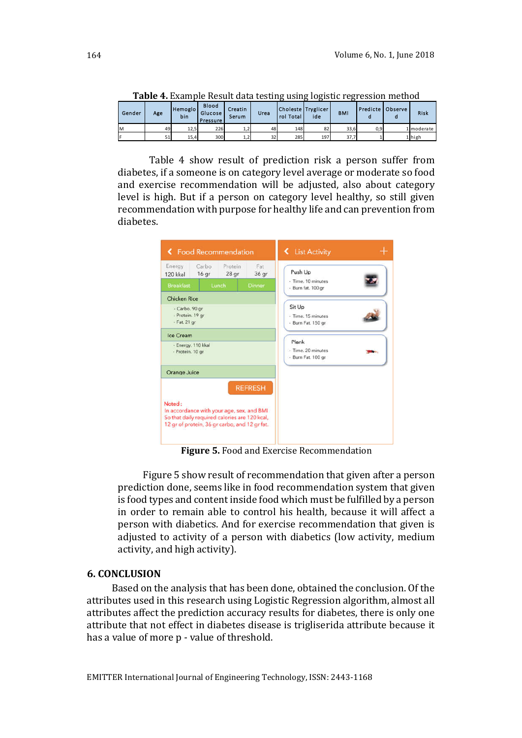|        |     |                 | Table T. Example Result data testing using logistic regression incliibu |                  |      |                                 |     |            |                    |             |
|--------|-----|-----------------|-------------------------------------------------------------------------|------------------|------|---------------------------------|-----|------------|--------------------|-------------|
| Gender | Age | Hemoglo!<br>bin | <b>Blood</b><br>Glucose  <br>Pressure                                   | Creatin<br>Serum | Urea | Choleste Tryglicer<br>rol Total | ide | <b>BMI</b> | Predicte   Observe | <b>Risk</b> |
| ΙM     | 49  | 12,5            | 226                                                                     | 1,2              | 48   | 148                             | 82  | 33,6       | 0,9                | 1 moderate  |
|        | 51  | 15,4            | 300                                                                     | 1,2              | 32   | 285                             | 197 | 37.7       |                    | 1 high      |

**Table 4.** Example Result data testing using logistic regression method

Table 4 show result of prediction risk a person suffer from diabetes, if a someone is on category level average or moderate so food and exercise recommendation will be adjusted, also about category level is high. But if a person on category level healthy, so still given recommendation with purpose for healthy life and can prevention from diabetes.

| 16 gr<br>120 kkal                                   | Protein<br>Fat<br>28 <sub>qr</sub><br>36 gr                                                                                                                   | Push Up                                  |
|-----------------------------------------------------|---------------------------------------------------------------------------------------------------------------------------------------------------------------|------------------------------------------|
| <b>Breakfast</b><br>Lunch                           | Dinner                                                                                                                                                        | - Time, 10 minutes<br>- Burn fat. 100 gr |
| Chicken Rice                                        |                                                                                                                                                               | Sit Up                                   |
| - Carbo. 90 gr.<br>- Protein. 19 gr<br>- Fat. 21 gr |                                                                                                                                                               | - Time, 15 minutes<br>- Burn Fat. 150 gr |
| Ice Cream                                           |                                                                                                                                                               | Plank                                    |
| - Energy. 110 kkal<br>- Protein. 10 gr              |                                                                                                                                                               | - Time, 20 minutes<br>- Burn Fat. 100 gr |
| Orange Juice                                        |                                                                                                                                                               |                                          |
| Noted:                                              | <b>REFRESH</b><br>In accordance with your age, sex, and BMI<br>So that daily required calories are 120 kcal,<br>12 gr of protein, 36 gr carbo, and 12 gr fat. |                                          |

**Figure 5.** Food and Exercise Recommendation

Figure 5 show result of recommendation that given after a person prediction done, seems like in food recommendation system that given is food types and content inside food which must be fulfilled by a person in order to remain able to control his health, because it will affect a person with diabetics. And for exercise recommendation that given is adjusted to activity of a person with diabetics (low activity, medium activity, and high activity).

### **6. CONCLUSION**

Based on the analysis that has been done, obtained the conclusion. Of the attributes used in this research using Logistic Regression algorithm, almost all attributes affect the prediction accuracy results for diabetes, there is only one attribute that not effect in diabetes disease is trigliserida attribute because it has a value of more p - value of threshold.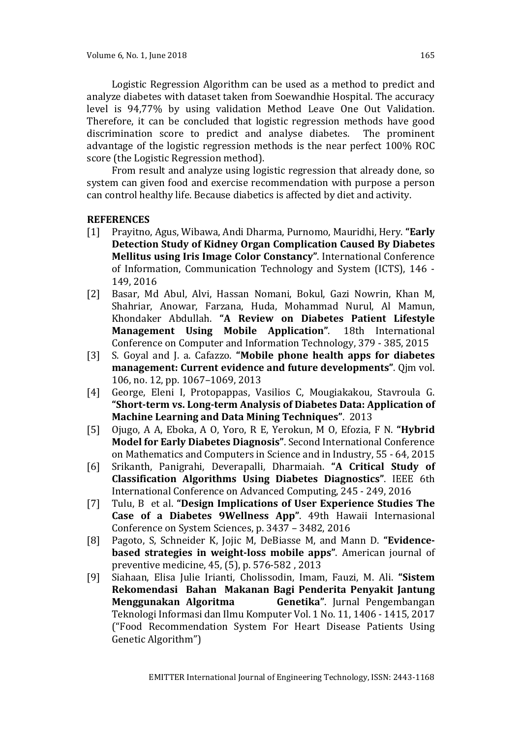Logistic Regression Algorithm can be used as a method to predict and analyze diabetes with dataset taken from Soewandhie Hospital. The accuracy level is 94,77% by using validation Method Leave One Out Validation. Therefore, it can be concluded that logistic regression methods have good discrimination score to predict and analyse diabetes. The prominent advantage of the logistic regression methods is the near perfect 100% ROC score (the Logistic Regression method).

From result and analyze using logistic regression that already done, so system can given food and exercise recommendation with purpose a person can control healthy life. Because diabetics is affected by diet and activity.

## **REFERENCES**

- [1] Prayitno, Agus, Wibawa, Andi Dharma, Purnomo, Mauridhi, Hery. **"Early Detection Study of Kidney Organ Complication Caused By Diabetes Mellitus using Iris Image Color Constancy"**. International Conference of Information, Communication Technology and System (ICTS), 146 - 149, 2016
- [2] Basar, Md Abul, Alvi, Hassan Nomani, Bokul, Gazi Nowrin, Khan M, Shahriar, Anowar, Farzana, Huda, Mohammad Nurul, Al Mamun, Khondaker Abdullah. **"A Review on Diabetes Patient Lifestyle Management Using Mobile Application"**. 18th International Conference on Computer and Information Technology, 379 - 385, 2015
- [3] S. Goyal and J. a. Cafazzo. **"Mobile phone health apps for diabetes management: Current evidence and future developments"**. Qjm vol. 106, no. 12, pp. 1067–1069, 2013
- [4] George, Eleni I, Protopappas, Vasilios C, Mougiakakou, Stavroula G. **"Short-term vs. Long-term Analysis of Diabetes Data: Application of Machine Learning and Data Mining Techniques"**. 2013
- [5] Ojugo, A A, Eboka, A O, Yoro, R E, Yerokun, M O, Efozia, F N. **"Hybrid Model for Early Diabetes Diagnosis"**. Second International Conference on Mathematics and Computers in Science and in Industry, 55 - 64, 2015
- [6] Srikanth, Panigrahi, Deverapalli, Dharmaiah. **"A Critical Study of Classification Algorithms Using Diabetes Diagnostics"**. IEEE 6th International Conference on Advanced Computing, 245 - 249, 2016
- [7] Tulu, B et al. **"Design Implications of User Experience Studies The Case of a Diabetes 9Wellness App"**. 49th Hawaii Internasional Conference on System Sciences, p. 3437 – 3482, 2016
- [8] Pagoto, S, Schneider K, Jojic M, DeBiasse M, and Mann D. **"Evidencebased strategies in weight-loss mobile apps"**. American journal of preventive medicine, 45, (5), p. 576-582 , 2013
- [9] Siahaan, Elisa Julie Irianti, Cholissodin, Imam, Fauzi, M. Ali. **"Sistem Rekomendasi Bahan Makanan Bagi Penderita Penyakit Jantung Menggunakan Algoritma Genetika"**. Jurnal Pengembangan Teknologi Informasi dan Ilmu Komputer Vol. 1 No. 11, 1406 - 1415, 2017 ("Food Recommendation System For Heart Disease Patients Using Genetic Algorithm")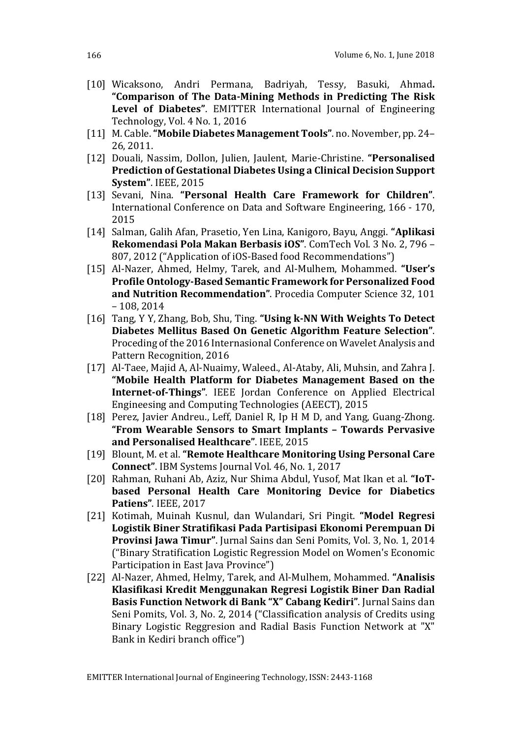- [10] Wicaksono, Andri Permana, Badriyah, Tessy, Basuki, Ahmad**. "Comparison of The Data-Mining Methods in Predicting The Risk Level of Diabetes"**. EMITTER International Journal of Engineering Technology, Vol. 4 No. 1, 2016
- [11] M. Cable. **"Mobile Diabetes Management Tools"**. no. November, pp. 24– 26, 2011.
- [12] Douali, Nassim, Dollon, Julien, Jaulent, Marie-Christine. **"Personalised Prediction of Gestational Diabetes Using a Clinical Decision Support System"**. IEEE, 2015
- [13] Sevani, Nina. **"Personal Health Care Framework for Children"**. International Conference on Data and Software Engineering, 166 - 170, 2015
- [14] Salman, Galih Afan, Prasetio, Yen Lina, Kanigoro, Bayu, Anggi. **"Aplikasi Rekomendasi Pola Makan Berbasis iOS"**. ComTech Vol. 3 No. 2, 796 – 807, 2012 ("Application of iOS-Based food Recommendations")
- [15] Al-Nazer, Ahmed, Helmy, Tarek, and Al-Mulhem, Mohammed. **"User's Profile Ontology-Based Semantic Framework for Personalized Food and Nutrition Recommendation"**. Procedia Computer Science 32, 101 – 108, 2014
- [16] Tang, Y Y, Zhang, Bob, Shu, Ting. **"Using k-NN With Weights To Detect Diabetes Mellitus Based On Genetic Algorithm Feature Selection"**. Proceding of the 2016 Internasional Conference on Wavelet Analysis and Pattern Recognition, 2016
- [17] Al-Taee, Majid A, Al-Nuaimy, Waleed., Al-Ataby, Ali, Muhsin, and Zahra J. **"Mobile Health Platform for Diabetes Management Based on the Internet-of-Things"**. IEEE Jordan Conference on Applied Electrical Engineesing and Computing Technologies (AEECT), 2015
- [18] Perez, Javier Andreu., Leff, Daniel R, Ip H M D, and Yang, Guang-Zhong. **"From Wearable Sensors to Smart Implants – Towards Pervasive and Personalised Healthcare"**. IEEE, 2015
- [19] Blount, M. et al. **"Remote Healthcare Monitoring Using Personal Care Connect"**. IBM Systems Journal Vol. 46, No. 1, 2017
- [20] Rahman, Ruhani Ab, Aziz, Nur Shima Abdul, Yusof, Mat Ikan et al. **"IoTbased Personal Health Care Monitoring Device for Diabetics Patiens"**. IEEE, 2017
- [21] Kotimah, Muinah Kusnul, dan Wulandari, Sri Pingit. **"Model Regresi Logistik Biner Stratifikasi Pada Partisipasi Ekonomi Perempuan Di Provinsi Jawa Timur"**. Jurnal Sains dan Seni Pomits, Vol. 3, No. 1, 2014 ("Binary Stratification Logistic Regression Model on Women's Economic Participation in East Java Province")
- [22] Al-Nazer, Ahmed, Helmy, Tarek, and Al-Mulhem, Mohammed. **"Analisis Klasifikasi Kredit Menggunakan Regresi Logistik Biner Dan Radial Basis Function Network di Bank "X" Cabang Kediri"**. Jurnal Sains dan Seni Pomits, Vol. 3, No. 2, 2014 ("Classification analysis of Credits using Binary Logistic Reggresion and Radial Basis Function Network at "X" Bank in Kediri branch office")